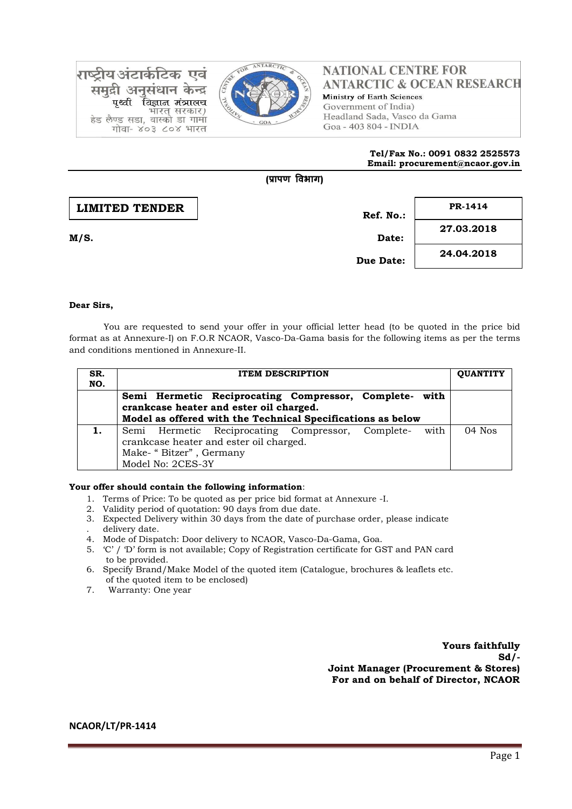

राष्टीय अंटार्कटिक एवं समद्री अनसंधान केन्द्र विज्ञान मंत्रालय भारत सरकार) हेड लैण्ड सडा, वास्को डा गामा गोवा- ४०३ ८०४ भारत

# **NATIONAL CENTRE FOR ANTARCTIC & OCEAN RESEARCH** Ministry of Earth Sciences Government of India) Headland Sada, Vasco da Gama Goa - 403 804 - INDIA

### **Tel/Fax No.: 0091 0832 2525573 Email: procurement@ncaor.gov.in**

# **Ref. No.: M/S. Date: Due Date: 27.03.2018 24.04.2018 LIMITED TENDER PR-1414**

**(प्रापण विभाग)**

## **Dear Sirs,**

You are requested to send your offer in your official letter head (to be quoted in the price bid format as at Annexure-I) on F.O.R NCAOR, Vasco-Da-Gama basis for the following items as per the terms and conditions mentioned in Annexure-II.

| SR.<br>NO. |                                                                                                                                                                  | <b>OUANTITY</b> |  |
|------------|------------------------------------------------------------------------------------------------------------------------------------------------------------------|-----------------|--|
|            | Semi Hermetic Reciprocating Compressor, Complete- with<br>crankcase heater and ester oil charged.<br>Model as offered with the Technical Specifications as below |                 |  |
|            | Semi Hermetic Reciprocating Compressor, Complete-<br>crankcase heater and ester oil charged.<br>Make- "Bitzer", Germany<br>Model No: 2CES-3Y                     | $04$ Nos        |  |

### **Your offer should contain the following information**:

- 1. Terms of Price: To be quoted as per price bid format at Annexure -I.
- 2. Validity period of quotation: 90 days from due date.
- 3. Expected Delivery within 30 days from the date of purchase order, please indicate . delivery date.
- 4. Mode of Dispatch: Door delivery to NCAOR, Vasco-Da-Gama, Goa.
- 5. 'C' / 'D' form is not available; Copy of Registration certificate for GST and PAN card to be provided.
- 6. Specify Brand/Make Model of the quoted item (Catalogue, brochures & leaflets etc. of the quoted item to be enclosed)
- 7. Warranty: One year

**Yours faithfully Sd/- Joint Manager (Procurement & Stores) For and on behalf of Director, NCAOR**

**NCAOR/LT/PR-1414**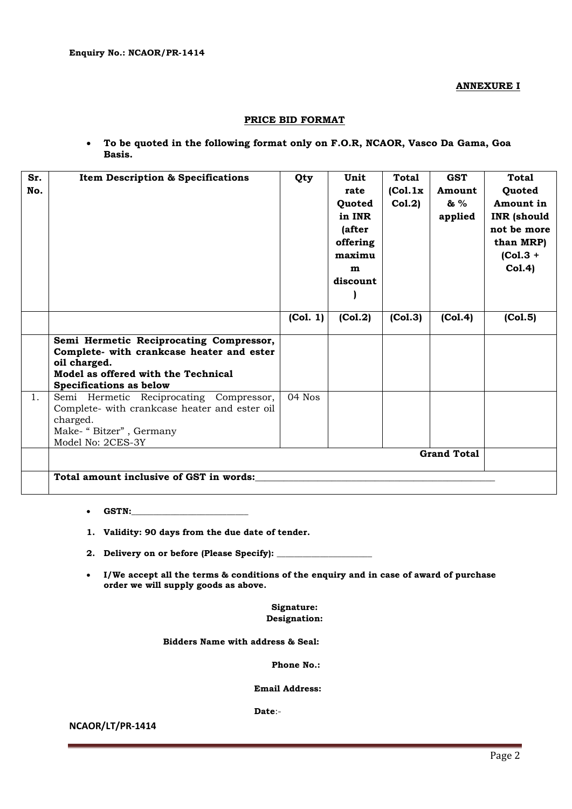**ANNEXURE I**

### **PRICE BID FORMAT**

 **To be quoted in the following format only on F.O.R, NCAOR, Vasco Da Gama, Goa Basis.**

| Sr. | <b>Item Description &amp; Specifications</b>              | Qty      | Unit     | <b>Total</b> | <b>GST</b> | <b>Total</b>       |  |  |
|-----|-----------------------------------------------------------|----------|----------|--------------|------------|--------------------|--|--|
| No. |                                                           |          | rate     | (Col.1x)     | Amount     | Quoted             |  |  |
|     |                                                           |          | Quoted   | Col.2)       | & %        | Amount in          |  |  |
|     |                                                           |          | in INR   |              | applied    | <b>INR</b> (should |  |  |
|     |                                                           |          | (after   |              |            | not be more        |  |  |
|     |                                                           |          | offering |              |            | than MRP)          |  |  |
|     |                                                           |          | maximu   |              |            | $(Col.3 +$         |  |  |
|     |                                                           |          | m        |              |            | Col.4)             |  |  |
|     |                                                           |          | discount |              |            |                    |  |  |
|     |                                                           |          |          |              |            |                    |  |  |
|     |                                                           |          |          |              |            |                    |  |  |
|     |                                                           | (Col. 1) | (Col.2)  | (Col.3)      | (Col.4)    | (Col.5)            |  |  |
|     |                                                           |          |          |              |            |                    |  |  |
|     | Semi Hermetic Reciprocating Compressor,                   |          |          |              |            |                    |  |  |
|     | Complete- with crankcase heater and ester<br>oil charged. |          |          |              |            |                    |  |  |
|     | Model as offered with the Technical                       |          |          |              |            |                    |  |  |
|     | <b>Specifications as below</b>                            |          |          |              |            |                    |  |  |
| 1.  | Semi Hermetic Reciprocating Compressor,                   | 04 Nos   |          |              |            |                    |  |  |
|     | Complete- with crankcase heater and ester oil             |          |          |              |            |                    |  |  |
|     | charged.                                                  |          |          |              |            |                    |  |  |
|     | Make- "Bitzer", Germany                                   |          |          |              |            |                    |  |  |
|     | Model No: 2CES-3Y                                         |          |          |              |            |                    |  |  |
|     | <b>Grand Total</b>                                        |          |          |              |            |                    |  |  |
|     |                                                           |          |          |              |            |                    |  |  |
|     | Total amount inclusive of GST in words:                   |          |          |              |            |                    |  |  |
|     |                                                           |          |          |              |            |                    |  |  |

- **GSTN:\_\_\_\_\_\_\_\_\_\_\_\_\_\_\_\_\_\_\_\_\_\_\_\_\_\_\_**
- **1. Validity: 90 days from the due date of tender.**
- **2. Delivery on or before (Please Specify): \_\_\_\_\_\_\_\_\_\_\_\_\_\_\_\_\_\_\_\_\_\_**
- **I/We accept all the terms & conditions of the enquiry and in case of award of purchase order we will supply goods as above.**

**Signature: Designation:**

 **Bidders Name with address & Seal:**

**Phone No.:**

 **Email Address:**

 **Date**:-

**NCAOR/LT/PR-1414**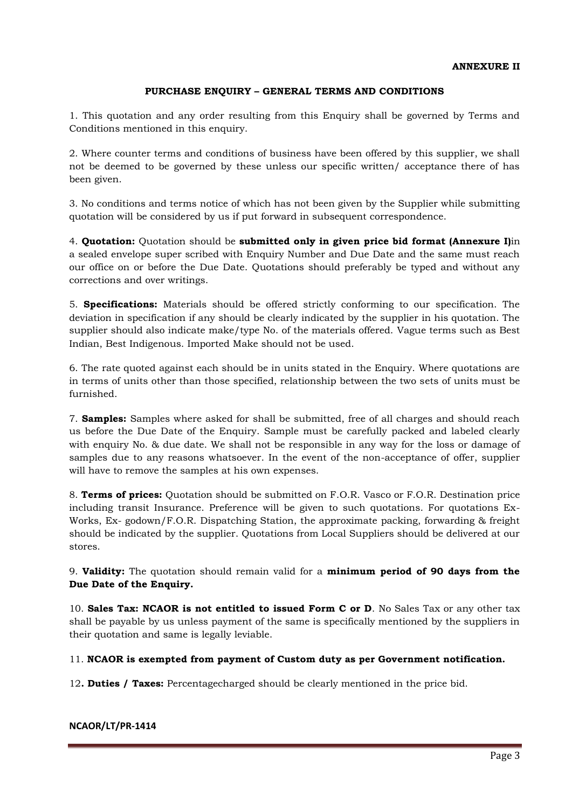# **PURCHASE ENQUIRY – GENERAL TERMS AND CONDITIONS**

1. This quotation and any order resulting from this Enquiry shall be governed by Terms and Conditions mentioned in this enquiry.

2. Where counter terms and conditions of business have been offered by this supplier, we shall not be deemed to be governed by these unless our specific written/ acceptance there of has been given.

3. No conditions and terms notice of which has not been given by the Supplier while submitting quotation will be considered by us if put forward in subsequent correspondence.

4. **Quotation:** Quotation should be **submitted only in given price bid format (Annexure I)**in a sealed envelope super scribed with Enquiry Number and Due Date and the same must reach our office on or before the Due Date. Quotations should preferably be typed and without any corrections and over writings.

5. **Specifications:** Materials should be offered strictly conforming to our specification. The deviation in specification if any should be clearly indicated by the supplier in his quotation. The supplier should also indicate make/type No. of the materials offered. Vague terms such as Best Indian, Best Indigenous. Imported Make should not be used.

6. The rate quoted against each should be in units stated in the Enquiry. Where quotations are in terms of units other than those specified, relationship between the two sets of units must be furnished.

7. **Samples:** Samples where asked for shall be submitted, free of all charges and should reach us before the Due Date of the Enquiry. Sample must be carefully packed and labeled clearly with enquiry No. & due date. We shall not be responsible in any way for the loss or damage of samples due to any reasons whatsoever. In the event of the non-acceptance of offer, supplier will have to remove the samples at his own expenses.

8. **Terms of prices:** Quotation should be submitted on F.O.R. Vasco or F.O.R. Destination price including transit Insurance. Preference will be given to such quotations. For quotations Ex-Works, Ex- godown/F.O.R. Dispatching Station, the approximate packing, forwarding & freight should be indicated by the supplier. Quotations from Local Suppliers should be delivered at our stores.

9. **Validity:** The quotation should remain valid for a **minimum period of 90 days from the Due Date of the Enquiry.** 

10. **Sales Tax: NCAOR is not entitled to issued Form C or D**. No Sales Tax or any other tax shall be payable by us unless payment of the same is specifically mentioned by the suppliers in their quotation and same is legally leviable.

11. **NCAOR is exempted from payment of Custom duty as per Government notification.**

12**. Duties / Taxes:** Percentagecharged should be clearly mentioned in the price bid.